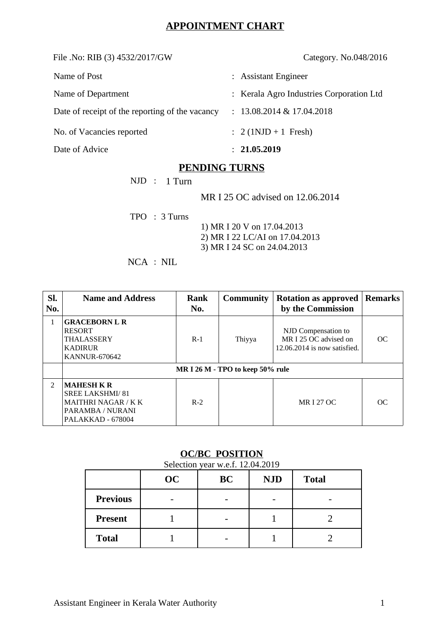# **APPOINTMENT CHART**

File .No: RIB (3) 4532/2017/GW Category. No.048/2016

| Name of Post                                    | : Assistant Engineer                     |
|-------------------------------------------------|------------------------------------------|
| Name of Department                              | : Kerala Agro Industries Corporation Ltd |
| Date of receipt of the reporting of the vacancy | $: 13.08.2014 \& 17.04.2018$             |
| No. of Vacancies reported                       | : $2 (1 NJD + 1$ Fresh)                  |
| Date of Advice                                  | : 21.05.2019                             |

## **PENDING TURNS**

NJD : 1 Turn

MR I 25 OC advised on 12.06.2014

TPO : 3 Turns

 1) MR I 20 V on 17.04.2013 2) MR I 22 LC/AI on 17.04.2013 3) MR I 24 SC on 24.04.2013

NCA : NIL

| SI.<br>No.     | <b>Name and Address</b>                                                                                            | Rank<br>No. | <b>Community</b> | <b>Rotation as approved</b><br>by the Commission                               | Remarks |  |
|----------------|--------------------------------------------------------------------------------------------------------------------|-------------|------------------|--------------------------------------------------------------------------------|---------|--|
| 1              | <b>GRACEBORN L R</b><br><b>RESORT</b><br>THALASSERY<br><b>KADIRUR</b><br><b>KANNUR-670642</b>                      | $R-1$       | Thiyya           | NJD Compensation to<br>MR I 25 OC advised on<br>$12.06.2014$ is now satisfied. | OC      |  |
|                | MR I 26 M - TPO to keep 50% rule                                                                                   |             |                  |                                                                                |         |  |
| $\overline{2}$ | <b>MAHESH K R</b><br><b>SREE LAKSHMI/81</b><br><b>MAITHRI NAGAR / K K</b><br>PARAMBA / NURANI<br>PALAKKAD - 678004 | $R-2$       |                  | <b>MR I 27 OC</b>                                                              | OC.     |  |

### **OC/BC POSITION**

Selection year w.e.f. 12.04.2019 **OC BC NJD Total Previous** |  $-$  |  $-$  |  $-$  |  $-$ **Present** 1 1 - 1 2 **Total** 1 - 1 2